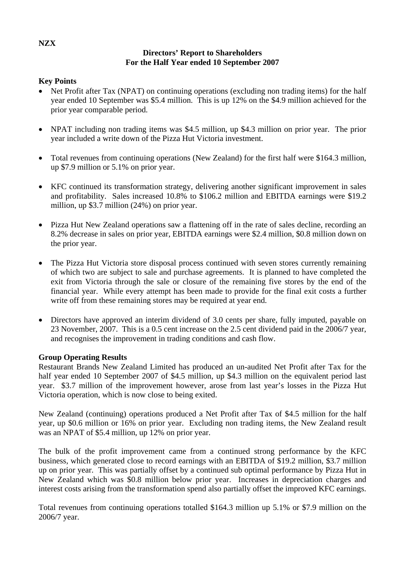# **Directors' Report to Shareholders For the Half Year ended 10 September 2007**

# **Key Points**

- Net Profit after Tax (NPAT) on continuing operations (excluding non trading items) for the half year ended 10 September was \$5.4 million. This is up 12% on the \$4.9 million achieved for the prior year comparable period.
- NPAT including non trading items was \$4.5 million, up \$4.3 million on prior year. The prior year included a write down of the Pizza Hut Victoria investment.
- Total revenues from continuing operations (New Zealand) for the first half were \$164.3 million, up \$7.9 million or 5.1% on prior year.
- KFC continued its transformation strategy, delivering another significant improvement in sales and profitability. Sales increased 10.8% to \$106.2 million and EBITDA earnings were \$19.2 million, up \$3.7 million (24%) on prior year.
- Pizza Hut New Zealand operations saw a flattening off in the rate of sales decline, recording an 8.2% decrease in sales on prior year, EBITDA earnings were \$2.4 million, \$0.8 million down on the prior year.
- The Pizza Hut Victoria store disposal process continued with seven stores currently remaining of which two are subject to sale and purchase agreements. It is planned to have completed the exit from Victoria through the sale or closure of the remaining five stores by the end of the financial year. While every attempt has been made to provide for the final exit costs a further write off from these remaining stores may be required at year end.
- Directors have approved an interim dividend of 3.0 cents per share, fully imputed, payable on 23 November, 2007. This is a 0.5 cent increase on the 2.5 cent dividend paid in the 2006/7 year, and recognises the improvement in trading conditions and cash flow.

#### **Group Operating Results**

Restaurant Brands New Zealand Limited has produced an un-audited Net Profit after Tax for the half year ended 10 September 2007 of \$4.5 million, up \$4.3 million on the equivalent period last year. \$3.7 million of the improvement however, arose from last year's losses in the Pizza Hut Victoria operation, which is now close to being exited.

New Zealand (continuing) operations produced a Net Profit after Tax of \$4.5 million for the half year, up \$0.6 million or 16% on prior year. Excluding non trading items, the New Zealand result was an NPAT of \$5.4 million, up 12% on prior year.

The bulk of the profit improvement came from a continued strong performance by the KFC business, which generated close to record earnings with an EBITDA of \$19.2 million, \$3.7 million up on prior year. This was partially offset by a continued sub optimal performance by Pizza Hut in New Zealand which was \$0.8 million below prior year. Increases in depreciation charges and interest costs arising from the transformation spend also partially offset the improved KFC earnings.

Total revenues from continuing operations totalled \$164.3 million up 5.1% or \$7.9 million on the 2006/7 year.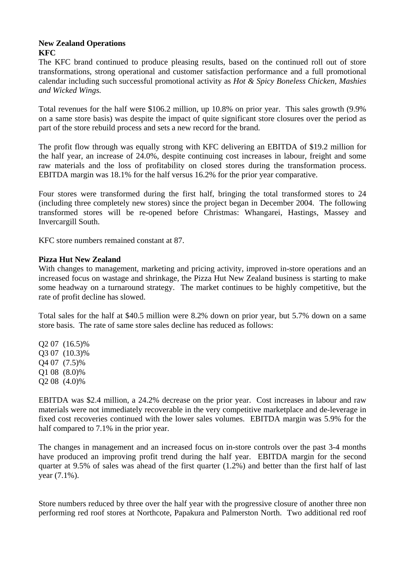### **New Zealand Operations KFC**

The KFC brand continued to produce pleasing results, based on the continued roll out of store transformations, strong operational and customer satisfaction performance and a full promotional calendar including such successful promotional activity as *Hot & Spicy Boneless Chicken, Mashies and Wicked Wings.* 

Total revenues for the half were \$106.2 million, up 10.8% on prior year. This sales growth (9.9% on a same store basis) was despite the impact of quite significant store closures over the period as part of the store rebuild process and sets a new record for the brand.

The profit flow through was equally strong with KFC delivering an EBITDA of \$19.2 million for the half year, an increase of 24.0%, despite continuing cost increases in labour, freight and some raw materials and the loss of profitability on closed stores during the transformation process. EBITDA margin was 18.1% for the half versus 16.2% for the prior year comparative.

Four stores were transformed during the first half, bringing the total transformed stores to 24 (including three completely new stores) since the project began in December 2004. The following transformed stores will be re-opened before Christmas: Whangarei, Hastings, Massey and Invercargill South.

KFC store numbers remained constant at 87.

# **Pizza Hut New Zealand**

With changes to management, marketing and pricing activity, improved in-store operations and an increased focus on wastage and shrinkage, the Pizza Hut New Zealand business is starting to make some headway on a turnaround strategy. The market continues to be highly competitive, but the rate of profit decline has slowed.

Total sales for the half at \$40.5 million were 8.2% down on prior year, but 5.7% down on a same store basis. The rate of same store sales decline has reduced as follows:

Q2 07 (16.5)% Q3 07 (10.3)% Q4 07 (7.5)% Q1 08 (8.0)% Q2 08 (4.0)%

EBITDA was \$2.4 million, a 24.2% decrease on the prior year. Cost increases in labour and raw materials were not immediately recoverable in the very competitive marketplace and de-leverage in fixed cost recoveries continued with the lower sales volumes. EBITDA margin was 5.9% for the half compared to 7.1% in the prior year.

The changes in management and an increased focus on in-store controls over the past 3-4 months have produced an improving profit trend during the half year. EBITDA margin for the second quarter at 9.5% of sales was ahead of the first quarter (1.2%) and better than the first half of last year (7.1%).

Store numbers reduced by three over the half year with the progressive closure of another three non performing red roof stores at Northcote, Papakura and Palmerston North. Two additional red roof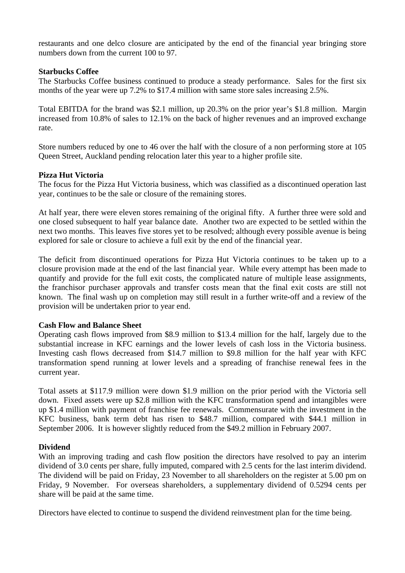restaurants and one delco closure are anticipated by the end of the financial year bringing store numbers down from the current 100 to 97.

### **Starbucks Coffee**

The Starbucks Coffee business continued to produce a steady performance. Sales for the first six months of the year were up 7.2% to \$17.4 million with same store sales increasing 2.5%.

Total EBITDA for the brand was \$2.1 million, up 20.3% on the prior year's \$1.8 million. Margin increased from 10.8% of sales to 12.1% on the back of higher revenues and an improved exchange rate.

Store numbers reduced by one to 46 over the half with the closure of a non performing store at 105 Queen Street, Auckland pending relocation later this year to a higher profile site.

# **Pizza Hut Victoria**

The focus for the Pizza Hut Victoria business, which was classified as a discontinued operation last year, continues to be the sale or closure of the remaining stores.

At half year, there were eleven stores remaining of the original fifty. A further three were sold and one closed subsequent to half year balance date. Another two are expected to be settled within the next two months. This leaves five stores yet to be resolved; although every possible avenue is being explored for sale or closure to achieve a full exit by the end of the financial year.

The deficit from discontinued operations for Pizza Hut Victoria continues to be taken up to a closure provision made at the end of the last financial year. While every attempt has been made to quantify and provide for the full exit costs, the complicated nature of multiple lease assignments, the franchisor purchaser approvals and transfer costs mean that the final exit costs are still not known. The final wash up on completion may still result in a further write-off and a review of the provision will be undertaken prior to year end.

#### **Cash Flow and Balance Sheet**

Operating cash flows improved from \$8.9 million to \$13.4 million for the half, largely due to the substantial increase in KFC earnings and the lower levels of cash loss in the Victoria business. Investing cash flows decreased from \$14.7 million to \$9.8 million for the half year with KFC transformation spend running at lower levels and a spreading of franchise renewal fees in the current year.

Total assets at \$117.9 million were down \$1.9 million on the prior period with the Victoria sell down. Fixed assets were up \$2.8 million with the KFC transformation spend and intangibles were up \$1.4 million with payment of franchise fee renewals. Commensurate with the investment in the KFC business, bank term debt has risen to \$48.7 million, compared with \$44.1 million in September 2006. It is however slightly reduced from the \$49.2 million in February 2007.

#### **Dividend**

With an improving trading and cash flow position the directors have resolved to pay an interim dividend of 3.0 cents per share, fully imputed, compared with 2.5 cents for the last interim dividend. The dividend will be paid on Friday, 23 November to all shareholders on the register at 5.00 pm on Friday, 9 November. For overseas shareholders, a supplementary dividend of 0.5294 cents per share will be paid at the same time.

Directors have elected to continue to suspend the dividend reinvestment plan for the time being.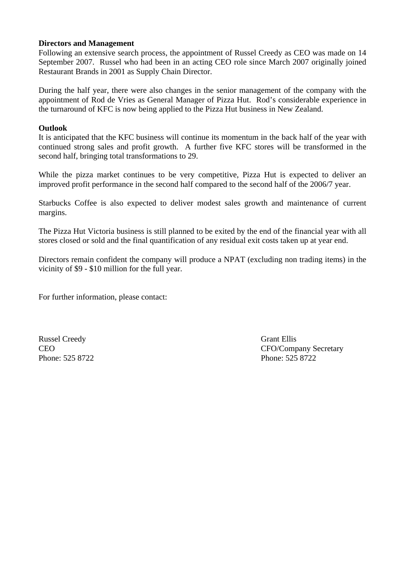#### **Directors and Management**

Following an extensive search process, the appointment of Russel Creedy as CEO was made on 14 September 2007. Russel who had been in an acting CEO role since March 2007 originally joined Restaurant Brands in 2001 as Supply Chain Director.

During the half year, there were also changes in the senior management of the company with the appointment of Rod de Vries as General Manager of Pizza Hut. Rod's considerable experience in the turnaround of KFC is now being applied to the Pizza Hut business in New Zealand.

#### **Outlook**

It is anticipated that the KFC business will continue its momentum in the back half of the year with continued strong sales and profit growth. A further five KFC stores will be transformed in the second half, bringing total transformations to 29.

While the pizza market continues to be very competitive, Pizza Hut is expected to deliver an improved profit performance in the second half compared to the second half of the 2006/7 year.

Starbucks Coffee is also expected to deliver modest sales growth and maintenance of current margins.

The Pizza Hut Victoria business is still planned to be exited by the end of the financial year with all stores closed or sold and the final quantification of any residual exit costs taken up at year end.

Directors remain confident the company will produce a NPAT (excluding non trading items) in the vicinity of \$9 - \$10 million for the full year.

For further information, please contact:

Russel Creedy Grant Ellis Phone: 525 8722 Phone: 525 8722

CEO CFO/Company Secretary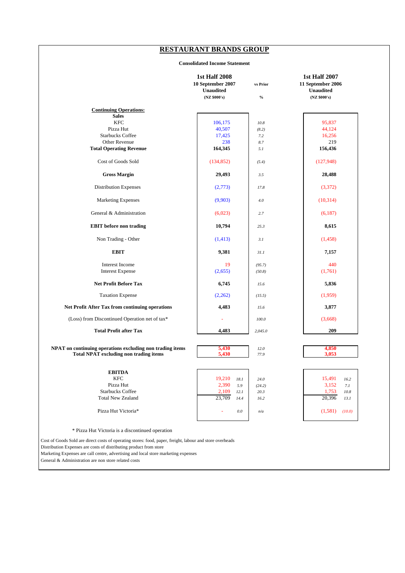# **RESTAURANT BRANDS GROUP**

#### **Consolidated Income Statement**

|                                                           | <b>1st Half 2008</b><br>10 September 2007<br><b>Unaudited</b><br>(NZ \$000's) | vs Prior<br>$\%$ | <b>1st Half 2007</b><br>11 September 2006<br><b>Unaudited</b><br>(NZ \$000's) |
|-----------------------------------------------------------|-------------------------------------------------------------------------------|------------------|-------------------------------------------------------------------------------|
| <b>Continuing Operations:</b>                             |                                                                               |                  |                                                                               |
| <b>Sales</b>                                              |                                                                               |                  |                                                                               |
| <b>KFC</b>                                                | 106,175                                                                       | 10.8             | 95,837                                                                        |
| Pizza Hut                                                 | 40,507                                                                        | (8.2)            | 44,124                                                                        |
| <b>Starbucks Coffee</b>                                   | 17,425                                                                        | 7.2              | 16,256                                                                        |
| Other Revenue                                             | 238                                                                           | 8.7              | 219                                                                           |
| <b>Total Operating Revenue</b>                            | 164,345                                                                       | 5.1              | 156,436                                                                       |
| Cost of Goods Sold                                        | (134, 852)                                                                    | (5.4)            | (127, 948)                                                                    |
| <b>Gross Margin</b>                                       | 29,493                                                                        | 3.5              | 28,488                                                                        |
| <b>Distribution Expenses</b>                              | (2,773)                                                                       | 17.8             | (3,372)                                                                       |
| <b>Marketing Expenses</b>                                 | (9,903)                                                                       | 4.0              | (10, 314)                                                                     |
| General & Administration                                  | (6,023)                                                                       | 2.7              | (6,187)                                                                       |
| <b>EBIT</b> before non trading                            | 10,794                                                                        | 25.3             | 8,615                                                                         |
| Non Trading - Other                                       | (1, 413)                                                                      | 3.1              | (1, 458)                                                                      |
| <b>EBIT</b>                                               | 9,381                                                                         | 31.1             | 7,157                                                                         |
| Interest Income                                           | 19                                                                            | (95.7)           | 440                                                                           |
| <b>Interest Expense</b>                                   | (2,655)                                                                       | (50.8)           | (1,761)                                                                       |
| <b>Net Profit Before Tax</b>                              | 6,745                                                                         | 15.6             | 5,836                                                                         |
| <b>Taxation Expense</b>                                   | (2,262)                                                                       | (15.5)           | (1,959)                                                                       |
| Net Profit After Tax from continuing operations           | 4,483                                                                         | 15.6             | 3,877                                                                         |
| (Loss) from Discontinued Operation net of tax*            |                                                                               | 100.0            | (3,668)                                                                       |
| <b>Total Profit after Tax</b>                             | 4,483                                                                         | 2,045.0          | 209                                                                           |
| NPAT on continuing operations excluding non trading items | 5,430                                                                         | 12.0             | 4,850                                                                         |
| <b>Total NPAT excluding non trading items</b>             | 5,430                                                                         | 77.9             | 3,053                                                                         |
| <b>EBITDA</b>                                             |                                                                               |                  |                                                                               |
| <b>KFC</b>                                                | 19,210<br>18.1                                                                | 24.0             | 15,491<br>16.2                                                                |
| Pizza Hut                                                 | 2,390<br>5.9                                                                  | (24.2)           | 3,152<br>7.1                                                                  |
| <b>Starbucks Coffee</b>                                   | 2,109<br>12.1                                                                 | 20.3             | 1,753<br>10.8                                                                 |
| <b>Total New Zealand</b>                                  | 23,709<br>14.4                                                                | 16.2             | 20,396<br>13.1                                                                |
| Pizza Hut Victoria*                                       | $0.0\,$                                                                       | n/a              | (1,581)<br>(10.0)                                                             |
|                                                           |                                                                               |                  |                                                                               |
| * Pizza Hut Victoria is a discontinued operation          |                                                                               |                  |                                                                               |

Cost of Goods Sold are direct costs of operating stores: food, paper, freight, labour and store overheads

Distribution Expenses are costs of distributing product from store

Marketing Expenses are call centre, advertising and local store marketing expenses

General & Administration are non store related costs